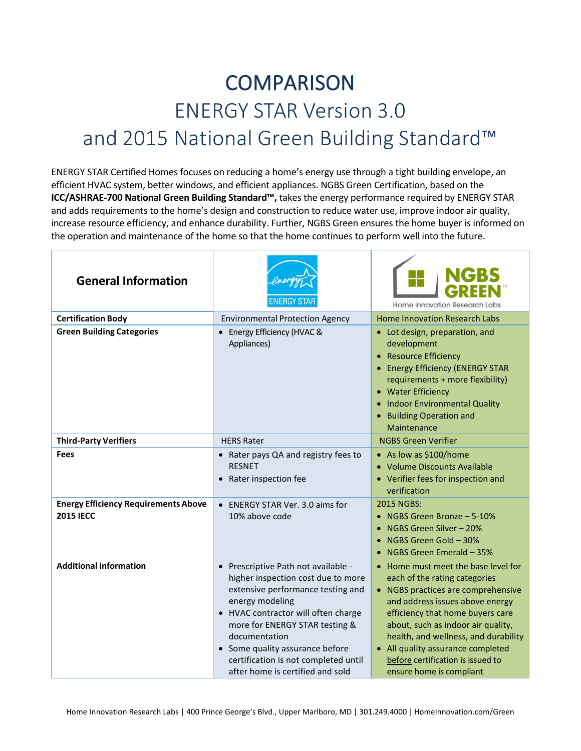## **COMPARISON** ENERGY STAR Version 3.0 and 2015 National Green Building Standard™

ENERGY STAR Certified Homes focuses on reducing a home's energy use through a tight building envelope, an efficient HVAC system, better windows, and efficient appliances. NGBS Green Certification, based on the **ICC/ASHRAE-700 National Green Building Standard™,** takes the energy performance required by ENERGY STAR and adds requirements to the home's design and construction to reduce water use, improve indoor air quality, increase resource efficiency, and enhance durability. Further, NGBS Green ensures the home buyer is informed on the operation and maintenance of the home so that the home continues to perform well into the future.

| <b>General Information</b>                                      |                                                                                                                                                                                                                                                                                                                                                                | <b>Home Innovation Research Labs</b>                                                                                                                                                                                                                                                                                                                                  |
|-----------------------------------------------------------------|----------------------------------------------------------------------------------------------------------------------------------------------------------------------------------------------------------------------------------------------------------------------------------------------------------------------------------------------------------------|-----------------------------------------------------------------------------------------------------------------------------------------------------------------------------------------------------------------------------------------------------------------------------------------------------------------------------------------------------------------------|
| <b>Certification Body</b>                                       | <b>Environmental Protection Agency</b>                                                                                                                                                                                                                                                                                                                         | <b>Home Innovation Research Labs</b>                                                                                                                                                                                                                                                                                                                                  |
| <b>Green Building Categories</b>                                | • Energy Efficiency (HVAC &<br>Appliances)                                                                                                                                                                                                                                                                                                                     | • Lot design, preparation, and<br>development<br><b>Resource Efficiency</b><br>• Energy Efficiency (ENERGY STAR<br>requirements + more flexibility)<br>• Water Efficiency<br>Indoor Environmental Quality<br><b>Building Operation and</b><br>Maintenance                                                                                                             |
| <b>Third-Party Verifiers</b>                                    | <b>HERS Rater</b>                                                                                                                                                                                                                                                                                                                                              | <b>NGBS Green Verifier</b>                                                                                                                                                                                                                                                                                                                                            |
| Fees                                                            | • Rater pays QA and registry fees to<br><b>RESNET</b><br>Rater inspection fee                                                                                                                                                                                                                                                                                  | • As low as \$100/home<br>• Volume Discounts Available<br>• Verifier fees for inspection and<br>verification                                                                                                                                                                                                                                                          |
| <b>Energy Efficiency Requirements Above</b><br><b>2015 IECC</b> | ENERGY STAR Ver. 3.0 aims for<br>$\bullet$<br>10% above code                                                                                                                                                                                                                                                                                                   | 2015 NGBS:<br>NGBS Green Bronze - 5-10%<br>NGBS Green Silver - 20%<br>$\bullet$<br>NGBS Green Gold - 30%<br>NGBS Green Emerald - 35%                                                                                                                                                                                                                                  |
| <b>Additional information</b>                                   | Prescriptive Path not available -<br>$\bullet$<br>higher inspection cost due to more<br>extensive performance testing and<br>energy modeling<br>HVAC contractor will often charge<br>$\bullet$<br>more for ENERGY STAR testing &<br>documentation<br>Some quality assurance before<br>certification is not completed until<br>after home is certified and sold | • Home must meet the base level for<br>each of the rating categories<br>• NGBS practices are comprehensive<br>and address issues above energy<br>efficiency that home buyers care<br>about, such as indoor air quality,<br>health, and wellness, and durability<br>• All quality assurance completed<br>before certification is issued to<br>ensure home is compliant |